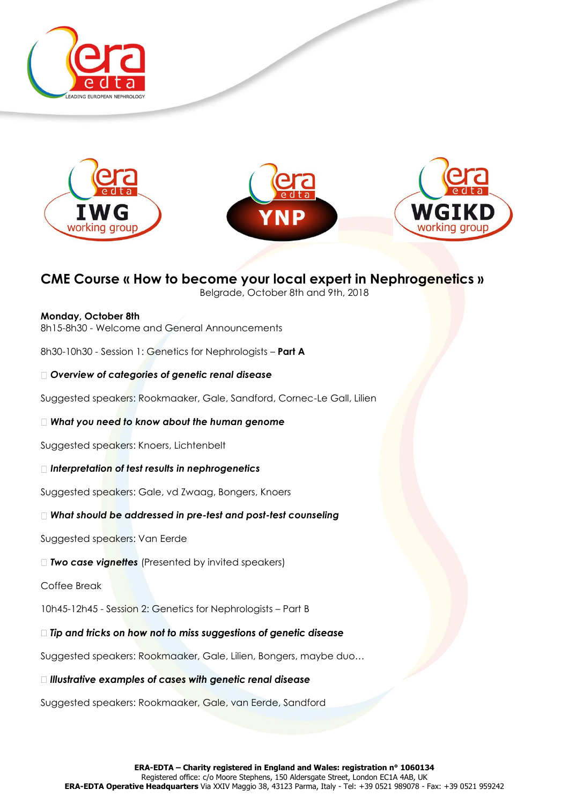







# **CME Course « How to become your local expert in Nephrogenetics »**

Belgrade, October 8th and 9th, 2018

# **Monday, October 8th**

8h15-8h30 - Welcome and General Announcements

8h30-10h30 - Session 1: Genetics for Nephrologists – **Part A**

*Overview of categories of genetic renal disease*

Suggested speakers: Rookmaaker, Gale, Sandford, Cornec-Le Gall, Lilien

*What you need to know about the human genome* 

Suggested speakers: Knoers, Lichtenbelt

*Interpretation of test results in nephrogenetics* 

Suggested speakers: Gale, vd Zwaag, Bongers, Knoers

# *What should be addressed in pre-test and post-test counseling*

Suggested speakers: Van Eerde

*Two case vignettes* (Presented by invited speakers)

Coffee Break

10h45-12h45 - Session 2: Genetics for Nephrologists – Part B

#### $\Box$  Tip and tricks on how not to miss suggestions of genetic disease

Suggested speakers: Rookmaaker, Gale, Lilien, Bongers, maybe duo…

#### $\Box$  Illustrative examples of cases with genetic renal disease

Suggested speakers: Rookmaaker, Gale, van Eerde, Sandford